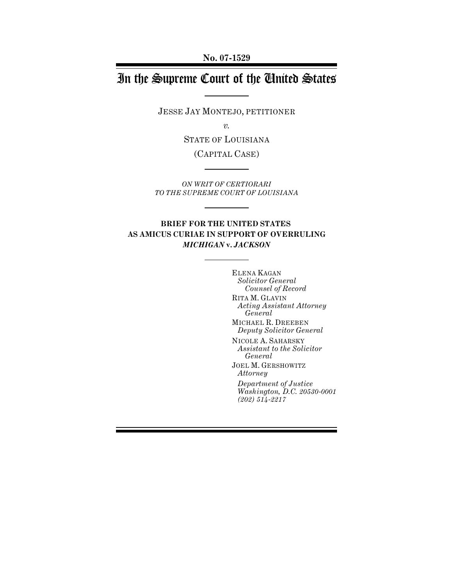**No. 07-1529**

# In the Supreme Court of the United States

JESSE JAY MONTEJO, PETITIONER

*v.*

STATE OF LOUISIANA

(CAPITAL CASE)

*ON WRIT OF CERTIORARI TO THE SUPREME COURT OF LOUISIANA*

## **BRIEF FOR THE UNITED STATES AS AMICUS CURIAE IN SUPPORT OF OVERRULING** *MICHIGAN* **v.** *JACKSON*

ELENA KAGAN *Solicitor General Counsel of Record* RITA M. GLAVIN *Acting Assistant Attorney General* MICHAEL R. DREEBEN *Deputy Solicitor General* NICOLE A. SAHARSKY *Assistant to the Solicitor General* JOEL M. GERSHOWITZ *Attorney Department of Justice Washington, D.C. 20530-0001 (202) 514-2217*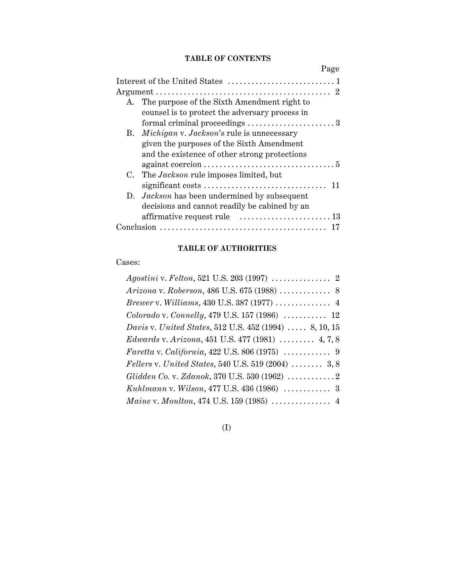## **TABLE OF CONTENTS**

|    | Page                                                                                          |  |
|----|-----------------------------------------------------------------------------------------------|--|
|    |                                                                                               |  |
|    | - 2                                                                                           |  |
| A. | The purpose of the Sixth Amendment right to<br>counsel is to protect the adversary process in |  |
|    | formal criminal proceedings $\dots\dots\dots\dots\dots\dots\dots$                             |  |
|    | B. Michigan v. Jackson's rule is unnecessary                                                  |  |
|    | given the purposes of the Sixth Amendment                                                     |  |
|    | and the existence of other strong protections                                                 |  |
|    |                                                                                               |  |
|    | C. The <i>Jackson</i> rule imposes limited, but                                               |  |
|    | 11                                                                                            |  |
|    | D. <i>Jackson</i> has been undermined by subsequent                                           |  |
|    | decisions and cannot readily be cabined by an                                                 |  |
|    | affirmative request rule  13                                                                  |  |
|    | Conclusion $\ldots$                                                                           |  |

## **TABLE OF AUTHORITIES**

Cases:

| <i>Brewer v. Williams, 430 U.S. 387 (1977) </i> 4                  |
|--------------------------------------------------------------------|
| Colorado v. Connelly, 479 U.S. 157 (1986)  12                      |
| <i>Davis v. United States, 512 U.S. 452 (1994) </i> 8, 10, 15      |
| Edwards v. Arizona, 451 U.S. 477 (1981) $\ldots$ 4, 7, 8           |
|                                                                    |
| Fellers v. United States, 540 U.S. 519 (2004) $\ldots \ldots$ 3, 8 |
|                                                                    |
|                                                                    |
|                                                                    |

(I)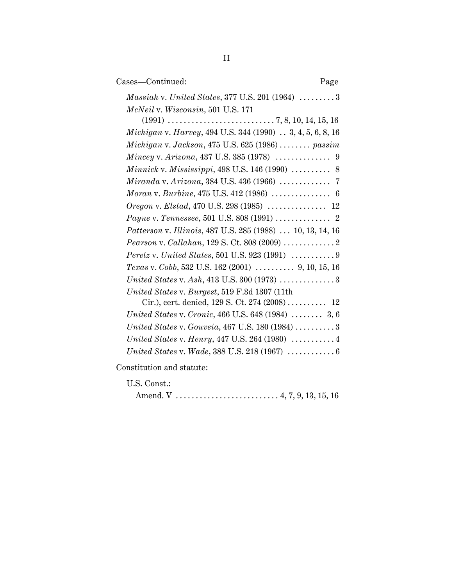| Cases—Continued:                                                                                                       | Page |
|------------------------------------------------------------------------------------------------------------------------|------|
| Massiah v. United States, 377 U.S. 201 (1964)  3                                                                       |      |
| McNeil v. Wisconsin, 501 U.S. 171                                                                                      |      |
|                                                                                                                        |      |
| Michigan v. Harvey, 494 U.S. 344 (1990) 3, 4, 5, 6, 8, 16                                                              |      |
| $\textit{Michigan v. Jackson}, 475 \text{ U.S. } 625 \text{ (1986)} \ldots \ldots \text{.} \text{.} \text{.} \text{.}$ |      |
| $\textit{Mincey v. Arizona}, 437 \text{ U.S. } 385 \,(1978) \,\, \ldots \ldots \ldots \ldots \,\, 9$                   |      |
| <i>Minnick v. Mississippi</i> , 498 U.S. 146 (1990) $\ldots \ldots \ldots$ 8                                           |      |
|                                                                                                                        |      |
|                                                                                                                        |      |
| Oregon v. Elstad, 470 U.S. 298 (1985)  12                                                                              |      |
|                                                                                                                        |      |
| Patterson v. Illinois, 487 U.S. 285 (1988)  10, 13, 14, 16                                                             |      |
|                                                                                                                        |      |
| Peretz v. United States, 501 U.S. 923 (1991) $\ldots \ldots \ldots$ 9                                                  |      |
| Texas v. Cobb, 532 U.S. 162 (2001)  9, 10, 15, 16                                                                      |      |
|                                                                                                                        |      |
| United States v. Burgest, 519 F.3d 1307 (11th                                                                          |      |
| Cir.), cert. denied, 129 S. Ct. 274 (2008)  12                                                                         |      |
| United States v. Cronic, 466 U.S. 648 (1984)  3, 6                                                                     |      |
| United States v. Gouveia, $467$ U.S. $180$ (1984) $\ldots \ldots \ldots 3$                                             |      |
| United States v. Henry, 447 U.S. 264 (1980)  4                                                                         |      |
| United States v. Wade, 388 U.S. 218 (1967) $\ldots \ldots \ldots \ldots 6$                                             |      |
|                                                                                                                        |      |

Constitution and statute:

U.S. Const.:

|--|--|--|--|--|--|--|--|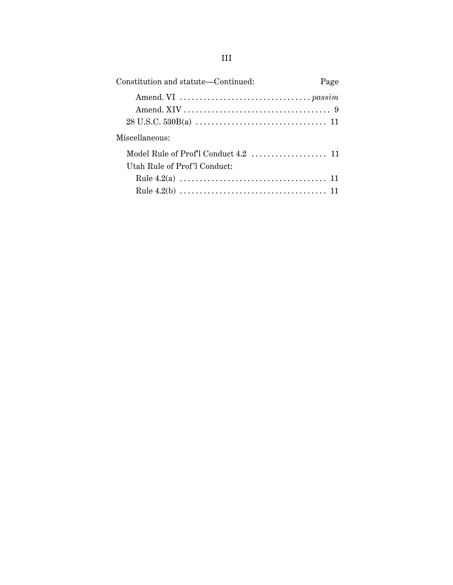| Constitution and statute—Continued: |  |
|-------------------------------------|--|
|                                     |  |
| Miscellaneous:                      |  |
| Utah Rule of Prof'l Conduct:        |  |
|                                     |  |
|                                     |  |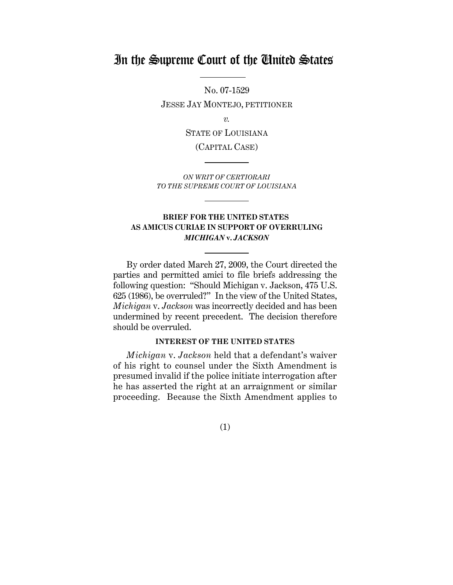## In the Supreme Court of the United States

No. 07-1529 JESSE JAY MONTEJO, PETITIONER

*v.*

STATE OF LOUISIANA

(CAPITAL CASE)

*ON WRIT OF CERTIORARI TO THE SUPREME COURT OF LOUISIANA*

## **BRIEF FOR THE UNITED STATES AS AMICUS CURIAE IN SUPPORT OF OVERRULING** *MICHIGAN* **v.** *JACKSON*

By order dated March 27, 2009, the Court directed the parties and permitted amici to file briefs addressing the following question: "Should Michigan v. Jackson, 475 U.S. 625 (1986), be overruled?" In the view of the United States, *Michigan* v. *Jackson* was incorrectly decided and has been undermined by recent precedent. The decision therefore should be overruled.

## **INTEREST OF THE UNITED STATES**

*Michigan* v. *Jackson* held that a defendant's waiver of his right to counsel under the Sixth Amendment is presumed invalid if the police initiate interrogation after he has asserted the right at an arraignment or similar proceeding. Because the Sixth Amendment applies to

(1)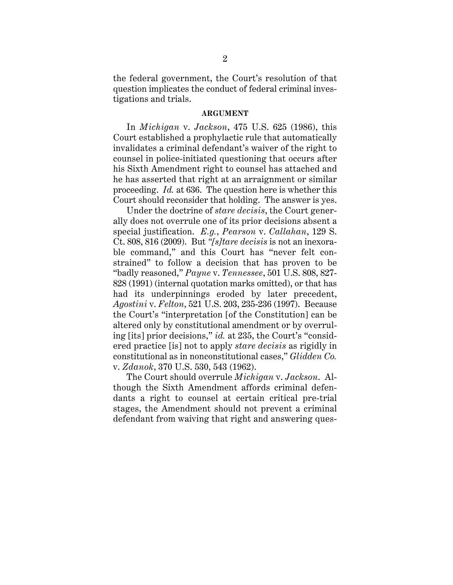the federal government, the Court's resolution of that question implicates the conduct of federal criminal investigations and trials.

#### **ARGUMENT**

In *Michigan* v. *Jackson*, 475 U.S. 625 (1986), this Court established a prophylactic rule that automatically invalidates a criminal defendant's waiver of the right to counsel in police-initiated questioning that occurs after his Sixth Amendment right to counsel has attached and he has asserted that right at an arraignment or similar proceeding. *Id.* at 636. The question here is whether this Court should reconsider that holding. The answer is yes.

Under the doctrine of *stare decisis*, the Court generally does not overrule one of its prior decisions absent a special justification. *E.g.*, *Pearson* v. *Callahan*, 129 S. Ct. 808, 816 (2009). But *"[s]tare decisis* is not an inexorable command," and this Court has "never felt constrained" to follow a decision that has proven to be "badly reasoned," *Payne* v. *Tennessee*, 501 U.S. 808, 827- 828 (1991) (internal quotation marks omitted), or that has had its underpinnings eroded by later precedent, *Agostini* v. *Felton*, 521 U.S. 203, 235-236 (1997). Because the Court's "interpretation [of the Constitution] can be altered only by constitutional amendment or by overruling [its] prior decisions," *id.* at 235, the Court's "considered practice [is] not to apply *stare decisis* as rigidly in constitutional as in nonconstitutional cases," *Glidden Co.* v. *Zdanok*, 370 U.S. 530, 543 (1962).

The Court should overrule *Michigan* v. *Jackson*. Although the Sixth Amendment affords criminal defendants a right to counsel at certain critical pre-trial stages, the Amendment should not prevent a criminal defendant from waiving that right and answering ques-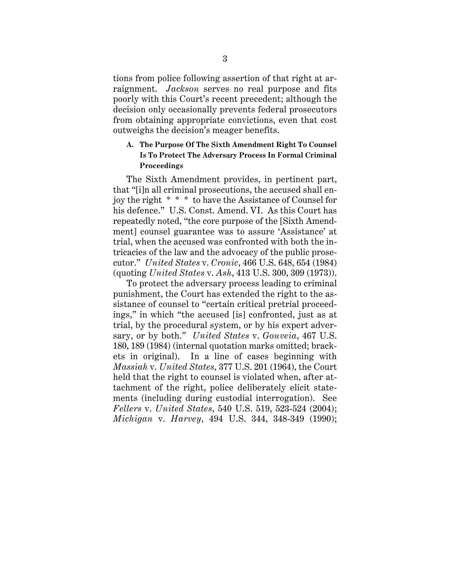tions from police following assertion of that right at arraignment. *Jackson* serves no real purpose and fits poorly with this Court's recent precedent; although the decision only occasionally prevents federal prosecutors from obtaining appropriate convictions, even that cost outweighs the decision's meager benefits.

## **A. The Purpose Of The Sixth Amendment Right To Counsel Is To Protect The Adversary Process In Formal Criminal Proceedings**

The Sixth Amendment provides, in pertinent part, that "[i]n all criminal prosecutions, the accused shall enjoy the right \* \* \* to have the Assistance of Counsel for his defence." U.S. Const. Amend. VI. As this Court has repeatedly noted, "the core purpose of the [Sixth Amendment] counsel guarantee was to assure 'Assistance' at trial, when the accused was confronted with both the intricacies of the law and the advocacy of the public prosecutor." *United States* v. *Cronic*, 466 U.S. 648, 654 (1984) (quoting *United States* v. *Ash*, 413 U.S. 300, 309 (1973)).

To protect the adversary process leading to criminal punishment, the Court has extended the right to the assistance of counsel to "certain critical pretrial proceedings," in which "the accused [is] confronted, just as at trial, by the procedural system, or by his expert adversary, or by both." *United States* v. *Gouveia*, 467 U.S. 180, 189 (1984) (internal quotation marks omitted; brackets in original). In a line of cases beginning with *Massiah* v. *United States*, 377 U.S. 201 (1964), the Court held that the right to counsel is violated when, after attachment of the right, police deliberately elicit statements (including during custodial interrogation). See *Fellers* v. *United States*, 540 U.S. 519, 523-524 (2004); *Michigan* v. *Harvey*, 494 U.S. 344, 348-349 (1990);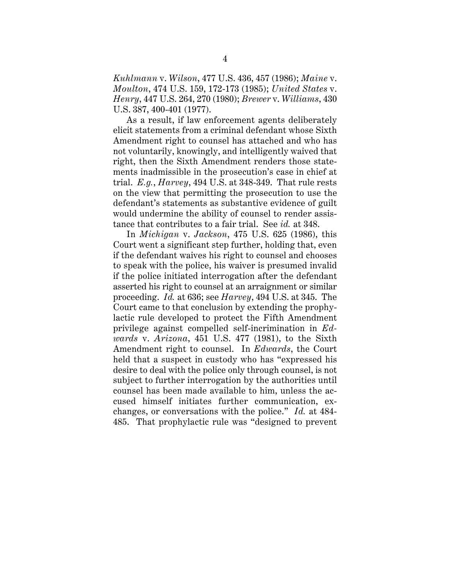*Kuhlmann* v. *Wilson*, 477 U.S. 436, 457 (1986); *Maine* v. *Moulton*, 474 U.S. 159, 172-173 (1985); *United States* v. *Henry*, 447 U.S. 264, 270 (1980); *Brewer* v. *Williams*, 430 U.S. 387, 400-401 (1977).

As a result, if law enforcement agents deliberately elicit statements from a criminal defendant whose Sixth Amendment right to counsel has attached and who has not voluntarily, knowingly, and intelligently waived that right, then the Sixth Amendment renders those statements inadmissible in the prosecution's case in chief at trial. *E.g.*, *Harvey*, 494 U.S. at 348-349. That rule rests on the view that permitting the prosecution to use the defendant's statements as substantive evidence of guilt would undermine the ability of counsel to render assistance that contributes to a fair trial. See *id.* at 348.

In *Michigan* v. *Jackson*, 475 U.S. 625 (1986), this Court went a significant step further, holding that, even if the defendant waives his right to counsel and chooses to speak with the police, his waiver is presumed invalid if the police initiated interrogation after the defendant asserted his right to counsel at an arraignment or similar proceeding. *Id.* at 636; see *Harvey*, 494 U.S. at 345. The Court came to that conclusion by extending the prophylactic rule developed to protect the Fifth Amendment privilege against compelled self-incrimination in *Edwards* v. *Arizona*, 451 U.S. 477 (1981), to the Sixth Amendment right to counsel. In *Edwards*, the Court held that a suspect in custody who has "expressed his desire to deal with the police only through counsel, is not subject to further interrogation by the authorities until counsel has been made available to him, unless the accused himself initiates further communication, exchanges, or conversations with the police." *Id.* at 484- 485. That prophylactic rule was "designed to prevent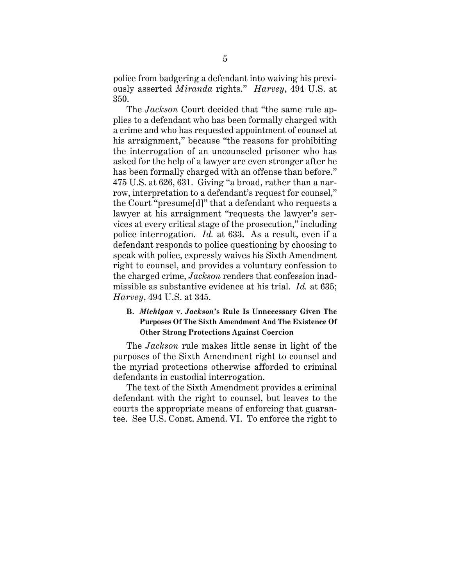police from badgering a defendant into waiving his previously asserted *Miranda* rights." *Harvey*, 494 U.S. at 350.

The *Jackson* Court decided that "the same rule applies to a defendant who has been formally charged with a crime and who has requested appointment of counsel at his arraignment," because "the reasons for prohibiting the interrogation of an uncounseled prisoner who has asked for the help of a lawyer are even stronger after he has been formally charged with an offense than before." 475 U.S. at 626, 631. Giving "a broad, rather than a narrow, interpretation to a defendant's request for counsel," the Court "presume[d]" that a defendant who requests a lawyer at his arraignment "requests the lawyer's services at every critical stage of the prosecution," including police interrogation. *Id.* at 633. As a result, even if a defendant responds to police questioning by choosing to speak with police, expressly waives his Sixth Amendment right to counsel, and provides a voluntary confession to the charged crime, *Jackson* renders that confession inadmissible as substantive evidence at his trial. *Id.* at 635; *Harvey*, 494 U.S. at 345.

## **B.** *Michigan* **v.** *Jackson***'s Rule Is Unnecessary Given The Purposes Of The Sixth Amendment And The Existence Of Other Strong Protections Against Coercion**

The *Jackson* rule makes little sense in light of the purposes of the Sixth Amendment right to counsel and the myriad protections otherwise afforded to criminal defendants in custodial interrogation.

The text of the Sixth Amendment provides a criminal defendant with the right to counsel, but leaves to the courts the appropriate means of enforcing that guarantee. See U.S. Const. Amend. VI. To enforce the right to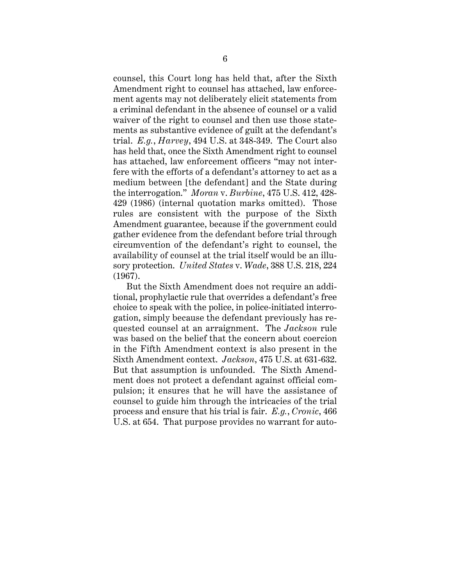counsel, this Court long has held that, after the Sixth Amendment right to counsel has attached, law enforcement agents may not deliberately elicit statements from a criminal defendant in the absence of counsel or a valid waiver of the right to counsel and then use those statements as substantive evidence of guilt at the defendant's trial. *E.g.*, *Harvey*, 494 U.S. at 348-349. The Court also has held that, once the Sixth Amendment right to counsel has attached, law enforcement officers "may not interfere with the efforts of a defendant's attorney to act as a medium between [the defendant] and the State during the interrogation." *Moran* v. *Burbine*, 475 U.S. 412, 428- 429 (1986) (internal quotation marks omitted). Those rules are consistent with the purpose of the Sixth Amendment guarantee, because if the government could gather evidence from the defendant before trial through circumvention of the defendant's right to counsel, the availability of counsel at the trial itself would be an illusory protection. *United States* v. *Wade*, 388 U.S. 218, 224 (1967).

But the Sixth Amendment does not require an additional, prophylactic rule that overrides a defendant's free choice to speak with the police, in police-initiated interrogation, simply because the defendant previously has requested counsel at an arraignment. The *Jackson* rule was based on the belief that the concern about coercion in the Fifth Amendment context is also present in the Sixth Amendment context. *Jackson*, 475 U.S. at 631-632. But that assumption is unfounded. The Sixth Amendment does not protect a defendant against official compulsion; it ensures that he will have the assistance of counsel to guide him through the intricacies of the trial process and ensure that his trial is fair. *E.g.*, *Cronic*, 466 U.S. at 654. That purpose provides no warrant for auto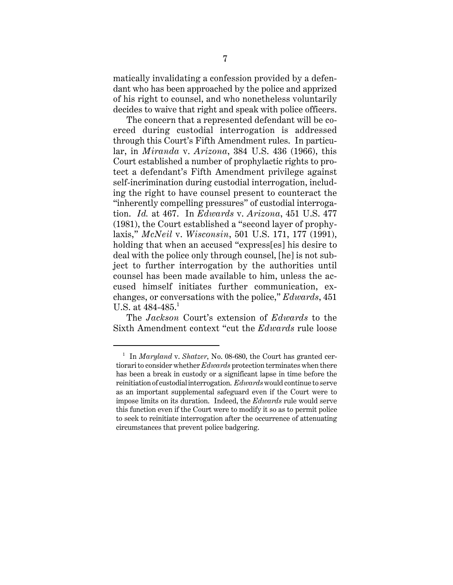matically invalidating a confession provided by a defendant who has been approached by the police and apprized of his right to counsel, and who nonetheless voluntarily decides to waive that right and speak with police officers.

The concern that a represented defendant will be coerced during custodial interrogation is addressed through this Court's Fifth Amendment rules. In particular, in *Miranda* v. *Arizona*, 384 U.S. 436 (1966), this Court established a number of prophylactic rights to protect a defendant's Fifth Amendment privilege against self-incrimination during custodial interrogation, including the right to have counsel present to counteract the "inherently compelling pressures" of custodial interrogation. *Id.* at 467. In *Edwards* v. *Arizona*, 451 U.S. 477 (1981), the Court established a "second layer of prophylaxis," *McNeil* v. *Wisconsin*, 501 U.S. 171, 177 (1991), holding that when an accused "express[es] his desire to deal with the police only through counsel, [he] is not subject to further interrogation by the authorities until counsel has been made available to him, unless the accused himself initiates further communication, exchanges, or conversations with the police," *Edwards*, 451 U.S. at  $484-485$ .<sup>1</sup>

The *Jackson* Court's extension of *Edwards* to the Sixth Amendment context "cut the *Edwards* rule loose

<sup>1</sup> In *Maryland* v. *Shatzer*, No. 08-680, the Court has granted certiorari to consider whether *Edwards* protection terminates when there has been a break in custody or a significant lapse in time before the reinitiation of custodial interrogation. *Edwards* would continue to serve as an important supplemental safeguard even if the Court were to impose limits on its duration. Indeed, the *Edwards* rule would serve this function even if the Court were to modify it so as to permit police to seek to reinitiate interrogation after the occurrence of attenuating circumstances that prevent police badgering.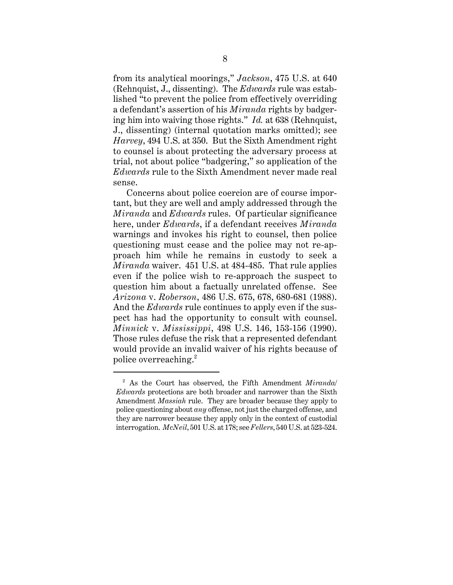from its analytical moorings," *Jackson*, 475 U.S. at 640 (Rehnquist, J., dissenting). The *Edwards* rule was established "to prevent the police from effectively overriding a defendant's assertion of his *Miranda* rights by badgering him into waiving those rights." *Id.* at 638 (Rehnquist, J., dissenting) (internal quotation marks omitted); see *Harvey*, 494 U.S. at 350. But the Sixth Amendment right to counsel is about protecting the adversary process at trial, not about police "badgering," so application of the *Edwards* rule to the Sixth Amendment never made real sense.

Concerns about police coercion are of course important, but they are well and amply addressed through the *Miranda* and *Edwards* rules. Of particular significance here, under *Edwards*, if a defendant receives *Miranda* warnings and invokes his right to counsel, then police questioning must cease and the police may not re-approach him while he remains in custody to seek a *Miranda* waiver. 451 U.S. at 484-485. That rule applies even if the police wish to re-approach the suspect to question him about a factually unrelated offense. See *Arizona* v. *Roberson*, 486 U.S. 675, 678, 680-681 (1988). And the *Edwards* rule continues to apply even if the suspect has had the opportunity to consult with counsel. *Minnick* v. *Mississippi*, 498 U.S. 146, 153-156 (1990). Those rules defuse the risk that a represented defendant would provide an invalid waiver of his rights because of police overreaching. $^2$ 

<sup>2</sup> As the Court has observed, the Fifth Amendment *Miranda/ Edwards* protections are both broader and narrower than the Sixth Amendment *Massiah* rule. They are broader because they apply to police questioning about *any* offense, not just the charged offense, and they are narrower because they apply only in the context of custodial interrogation. *McNeil*, 501 U.S. at 178; see *Fellers*, 540 U.S. at 523-524.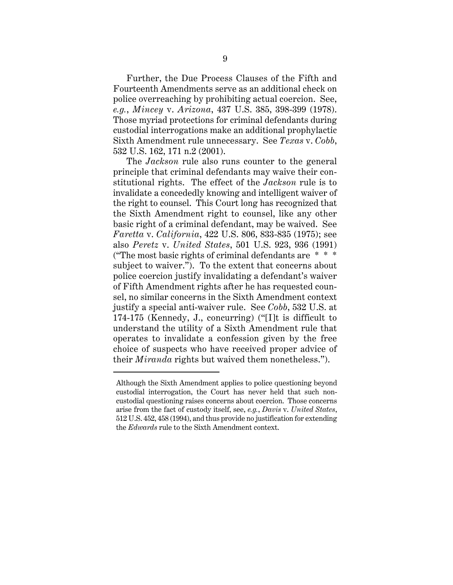Further, the Due Process Clauses of the Fifth and Fourteenth Amendments serve as an additional check on police overreaching by prohibiting actual coercion. See, *e.g.*, *Mincey* v. *Arizona*, 437 U.S. 385, 398-399 (1978). Those myriad protections for criminal defendants during custodial interrogations make an additional prophylactic Sixth Amendment rule unnecessary. See *Texas* v. *Cobb*, 532 U.S. 162, 171 n.2 (2001).

The *Jackson* rule also runs counter to the general principle that criminal defendants may waive their constitutional rights. The effect of the *Jackson* rule is to invalidate a concededly knowing and intelligent waiver of the right to counsel. This Court long has recognized that the Sixth Amendment right to counsel, like any other basic right of a criminal defendant, may be waived. See *Faretta* v. *California*, 422 U.S. 806, 833-835 (1975); see also *Peretz* v. *United States*, 501 U.S. 923, 936 (1991) ("The most basic rights of criminal defendants are  $* * *$ subject to waiver."). To the extent that concerns about police coercion justify invalidating a defendant's waiver of Fifth Amendment rights after he has requested counsel, no similar concerns in the Sixth Amendment context justify a special anti-waiver rule. See *Cobb*, 532 U.S. at 174-175 (Kennedy, J., concurring) ("[I]t is difficult to understand the utility of a Sixth Amendment rule that operates to invalidate a confession given by the free choice of suspects who have received proper advice of their *Miranda* rights but waived them nonetheless.").

Although the Sixth Amendment applies to police questioning beyond custodial interrogation, the Court has never held that such noncustodial questioning raises concerns about coercion. Those concerns arise from the fact of custody itself, see, *e.g.*, *Davis* v. *United States*, 512 U.S. 452, 458 (1994), and thus provide no justification for extending the *Edwards* rule to the Sixth Amendment context.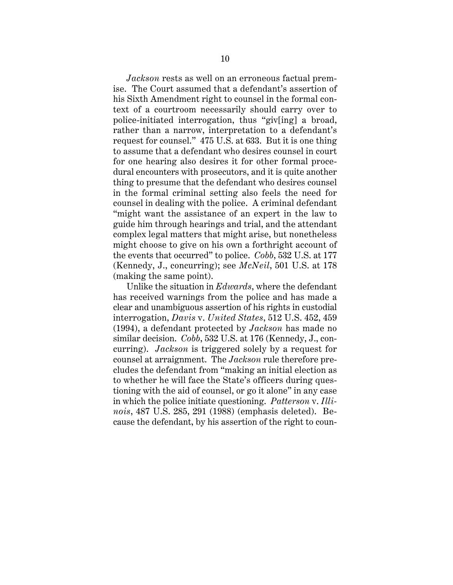*Jackson* rests as well on an erroneous factual premise. The Court assumed that a defendant's assertion of his Sixth Amendment right to counsel in the formal context of a courtroom necessarily should carry over to police-initiated interrogation, thus "giv[ing] a broad, rather than a narrow, interpretation to a defendant's request for counsel." 475 U.S. at 633. But it is one thing to assume that a defendant who desires counsel in court for one hearing also desires it for other formal procedural encounters with prosecutors, and it is quite another thing to presume that the defendant who desires counsel in the formal criminal setting also feels the need for counsel in dealing with the police. A criminal defendant "might want the assistance of an expert in the law to guide him through hearings and trial, and the attendant complex legal matters that might arise, but nonetheless might choose to give on his own a forthright account of the events that occurred" to police. *Cobb*, 532 U.S. at 177 (Kennedy, J., concurring); see *McNeil*, 501 U.S. at 178 (making the same point).

Unlike the situation in *Edwards*, where the defendant has received warnings from the police and has made a clear and unambiguous assertion of his rights in custodial interrogation, *Davis* v. *United States*, 512 U.S. 452, 459 (1994), a defendant protected by *Jackson* has made no similar decision. *Cobb*, 532 U.S. at 176 (Kennedy, J., concurring). *Jackson* is triggered solely by a request for counsel at arraignment. The *Jackson* rule therefore precludes the defendant from "making an initial election as to whether he will face the State's officers during questioning with the aid of counsel, or go it alone" in any case in which the police initiate questioning. *Patterson* v. *Illinois*, 487 U.S. 285, 291 (1988) (emphasis deleted). Because the defendant, by his assertion of the right to coun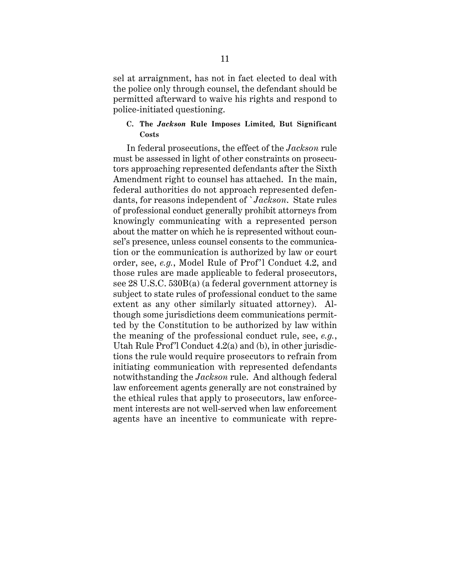sel at arraignment, has not in fact elected to deal with the police only through counsel, the defendant should be permitted afterward to waive his rights and respond to police-initiated questioning.

### **C. The** *Jackson* **Rule Imposes Limited, But Significant Costs**

In federal prosecutions, the effect of the *Jackson* rule must be assessed in light of other constraints on prosecutors approaching represented defendants after the Sixth Amendment right to counsel has attached. In the main, federal authorities do not approach represented defendants, for reasons independent of `*Jackson*. State rules of professional conduct generally prohibit attorneys from knowingly communicating with a represented person about the matter on which he is represented without counsel's presence, unless counsel consents to the communication or the communication is authorized by law or court order, see, *e.g.*, Model Rule of Prof'l Conduct 4.2, and those rules are made applicable to federal prosecutors, see 28 U.S.C. 530B(a) (a federal government attorney is subject to state rules of professional conduct to the same extent as any other similarly situated attorney). Although some jurisdictions deem communications permitted by the Constitution to be authorized by law within the meaning of the professional conduct rule, see, *e.g.*, Utah Rule Prof'l Conduct 4.2(a) and (b), in other jurisdictions the rule would require prosecutors to refrain from initiating communication with represented defendants notwithstanding the *Jackson* rule. And although federal law enforcement agents generally are not constrained by the ethical rules that apply to prosecutors, law enforcement interests are not well-served when law enforcement agents have an incentive to communicate with repre-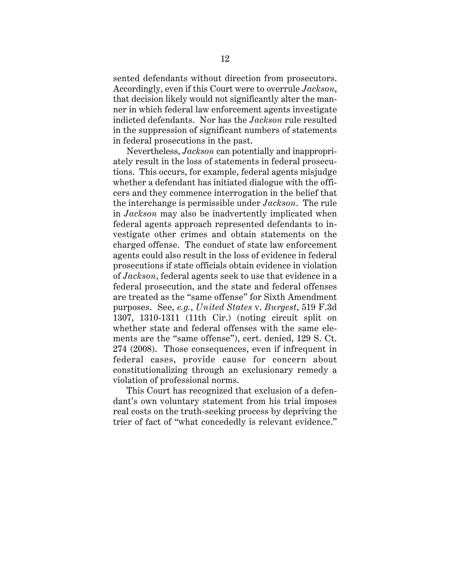sented defendants without direction from prosecutors. Accordingly, even if this Court were to overrule *Jackson*, that decision likely would not significantly alter the manner in which federal law enforcement agents investigate indicted defendants. Nor has the *Jackson* rule resulted in the suppression of significant numbers of statements in federal prosecutions in the past.

Nevertheless, *Jackson* can potentially and inappropriately result in the loss of statements in federal prosecutions. This occurs, for example, federal agents misjudge whether a defendant has initiated dialogue with the officers and they commence interrogation in the belief that the interchange is permissible under *Jackson*. The rule in *Jackson* may also be inadvertently implicated when federal agents approach represented defendants to investigate other crimes and obtain statements on the charged offense. The conduct of state law enforcement agents could also result in the loss of evidence in federal prosecutions if state officials obtain evidence in violation of *Jackson*, federal agents seek to use that evidence in a federal prosecution, and the state and federal offenses are treated as the "same offense" for Sixth Amendment purposes. See, *e.g.*, *United States* v. *Burgest*, 519 F.3d 1307, 1310-1311 (11th Cir.) (noting circuit split on whether state and federal offenses with the same elements are the "same offense"), cert. denied, 129 S. Ct. 274 (2008). Those consequences, even if infrequent in federal cases, provide cause for concern about constitutionalizing through an exclusionary remedy a violation of professional norms.

This Court has recognized that exclusion of a defendant's own voluntary statement from his trial imposes real costs on the truth-seeking process by depriving the trier of fact of "what concededly is relevant evidence."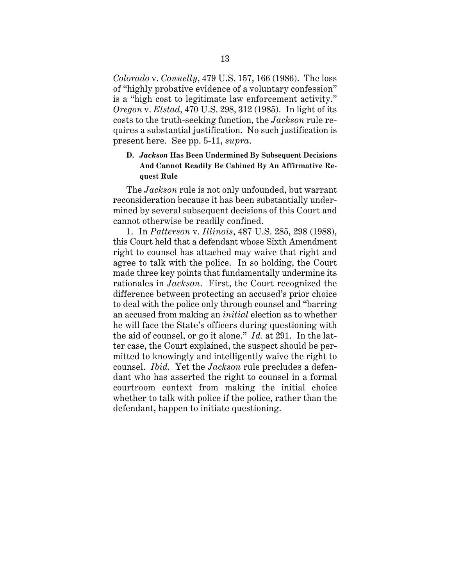*Colorado* v. *Connelly*, 479 U.S. 157, 166 (1986). The loss of "highly probative evidence of a voluntary confession" is a "high cost to legitimate law enforcement activity." *Oregon* v. *Elstad*, 470 U.S. 298, 312 (1985). In light of its costs to the truth-seeking function, the *Jackson* rule requires a substantial justification. No such justification is present here. See pp. 5-11, *supra*.

## **D.** *Jackson* **Has Been Undermined By Subsequent Decisions And Cannot Readily Be Cabined By An Affirmative Request Rule**

The *Jackson* rule is not only unfounded, but warrant reconsideration because it has been substantially undermined by several subsequent decisions of this Court and cannot otherwise be readily confined.

1. In *Patterson* v. *Illinois*, 487 U.S. 285, 298 (1988), this Court held that a defendant whose Sixth Amendment right to counsel has attached may waive that right and agree to talk with the police. In so holding, the Court made three key points that fundamentally undermine its rationales in *Jackson*. First, the Court recognized the difference between protecting an accused's prior choice to deal with the police only through counsel and "barring an accused from making an *initial* election as to whether he will face the State's officers during questioning with the aid of counsel, or go it alone." *Id.* at 291. In the latter case, the Court explained, the suspect should be permitted to knowingly and intelligently waive the right to counsel. *Ibid.* Yet the *Jackson* rule precludes a defendant who has asserted the right to counsel in a formal courtroom context from making the initial choice whether to talk with police if the police, rather than the defendant, happen to initiate questioning.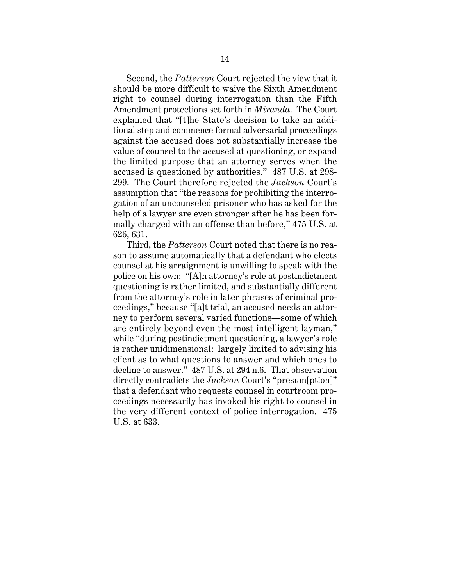Second, the *Patterson* Court rejected the view that it should be more difficult to waive the Sixth Amendment right to counsel during interrogation than the Fifth Amendment protections set forth in *Miranda*. The Court explained that "[t]he State's decision to take an additional step and commence formal adversarial proceedings against the accused does not substantially increase the value of counsel to the accused at questioning, or expand the limited purpose that an attorney serves when the accused is questioned by authorities." 487 U.S. at 298- 299. The Court therefore rejected the *Jackson* Court's assumption that "the reasons for prohibiting the interrogation of an uncounseled prisoner who has asked for the help of a lawyer are even stronger after he has been formally charged with an offense than before," 475 U.S. at 626, 631.

Third, the *Patterson* Court noted that there is no reason to assume automatically that a defendant who elects counsel at his arraignment is unwilling to speak with the police on his own: "[A]n attorney's role at postindictment questioning is rather limited, and substantially different from the attorney's role in later phrases of criminal proceedings," because "[a]t trial, an accused needs an attorney to perform several varied functions—some of which are entirely beyond even the most intelligent layman," while "during postindictment questioning, a lawyer's role is rather unidimensional: largely limited to advising his client as to what questions to answer and which ones to decline to answer." 487 U.S. at 294 n.6. That observation directly contradicts the *Jackson* Court's "presum[ption]" that a defendant who requests counsel in courtroom proceedings necessarily has invoked his right to counsel in the very different context of police interrogation. 475 U.S. at 633.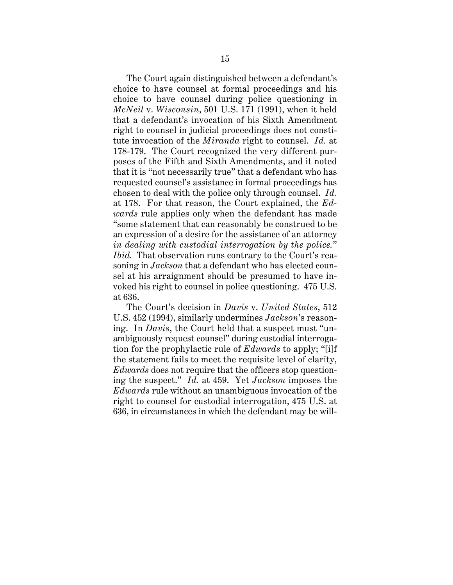The Court again distinguished between a defendant's choice to have counsel at formal proceedings and his choice to have counsel during police questioning in *McNeil* v. *Wisconsin*, 501 U.S. 171 (1991), when it held that a defendant's invocation of his Sixth Amendment right to counsel in judicial proceedings does not constitute invocation of the *Miranda* right to counsel. *Id.* at 178-179. The Court recognized the very different purposes of the Fifth and Sixth Amendments, and it noted that it is "not necessarily true" that a defendant who has requested counsel's assistance in formal proceedings has chosen to deal with the police only through counsel. *Id.* at 178. For that reason, the Court explained, the *Edwards* rule applies only when the defendant has made "some statement that can reasonably be construed to be an expression of a desire for the assistance of an attorney *in dealing with custodial interrogation by the police.*" *Ibid.* That observation runs contrary to the Court's reasoning in *Jackson* that a defendant who has elected counsel at his arraignment should be presumed to have invoked his right to counsel in police questioning. 475 U.S. at 636.

The Court's decision in *Davis* v. *United States*, 512 U.S. 452 (1994), similarly undermines *Jackson*'s reasoning. In *Davis*, the Court held that a suspect must "unambiguously request counsel" during custodial interrogation for the prophylactic rule of *Edwards* to apply; "[i]f the statement fails to meet the requisite level of clarity, *Edwards* does not require that the officers stop questioning the suspect." *Id.* at 459. Yet *Jackson* imposes the *Edwards* rule without an unambiguous invocation of the right to counsel for custodial interrogation, 475 U.S. at 636, in circumstances in which the defendant may be will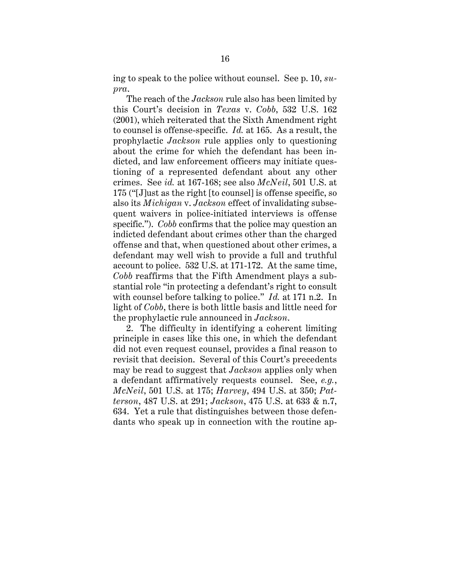ing to speak to the police without counsel. See p. 10, *supra*.

The reach of the *Jackson* rule also has been limited by this Court's decision in *Texas* v. *Cobb*, 532 U.S. 162 (2001), which reiterated that the Sixth Amendment right to counsel is offense-specific. *Id.* at 165. As a result, the prophylactic *Jackson* rule applies only to questioning about the crime for which the defendant has been indicted, and law enforcement officers may initiate questioning of a represented defendant about any other crimes. See *id.* at 167-168; see also *McNeil*, 501 U.S. at 175 ("[J]ust as the right [to counsel] is offense specific, so also its *Michigan* v. *Jackson* effect of invalidating subsequent waivers in police-initiated interviews is offense specific."). *Cobb* confirms that the police may question an indicted defendant about crimes other than the charged offense and that, when questioned about other crimes, a defendant may well wish to provide a full and truthful account to police. 532 U.S. at 171-172. At the same time, *Cobb* reaffirms that the Fifth Amendment plays a substantial role "in protecting a defendant's right to consult with counsel before talking to police." *Id.* at 171 n.2. In light of *Cobb*, there is both little basis and little need for the prophylactic rule announced in *Jackson*.

2. The difficulty in identifying a coherent limiting principle in cases like this one, in which the defendant did not even request counsel, provides a final reason to revisit that decision. Several of this Court's precedents may be read to suggest that *Jackson* applies only when a defendant affirmatively requests counsel. See, *e.g.*, *McNeil*, 501 U.S. at 175; *Harvey*, 494 U.S. at 350; *Patterson*, 487 U.S. at 291; *Jackson*, 475 U.S. at 633 & n.7, 634. Yet a rule that distinguishes between those defendants who speak up in connection with the routine ap-